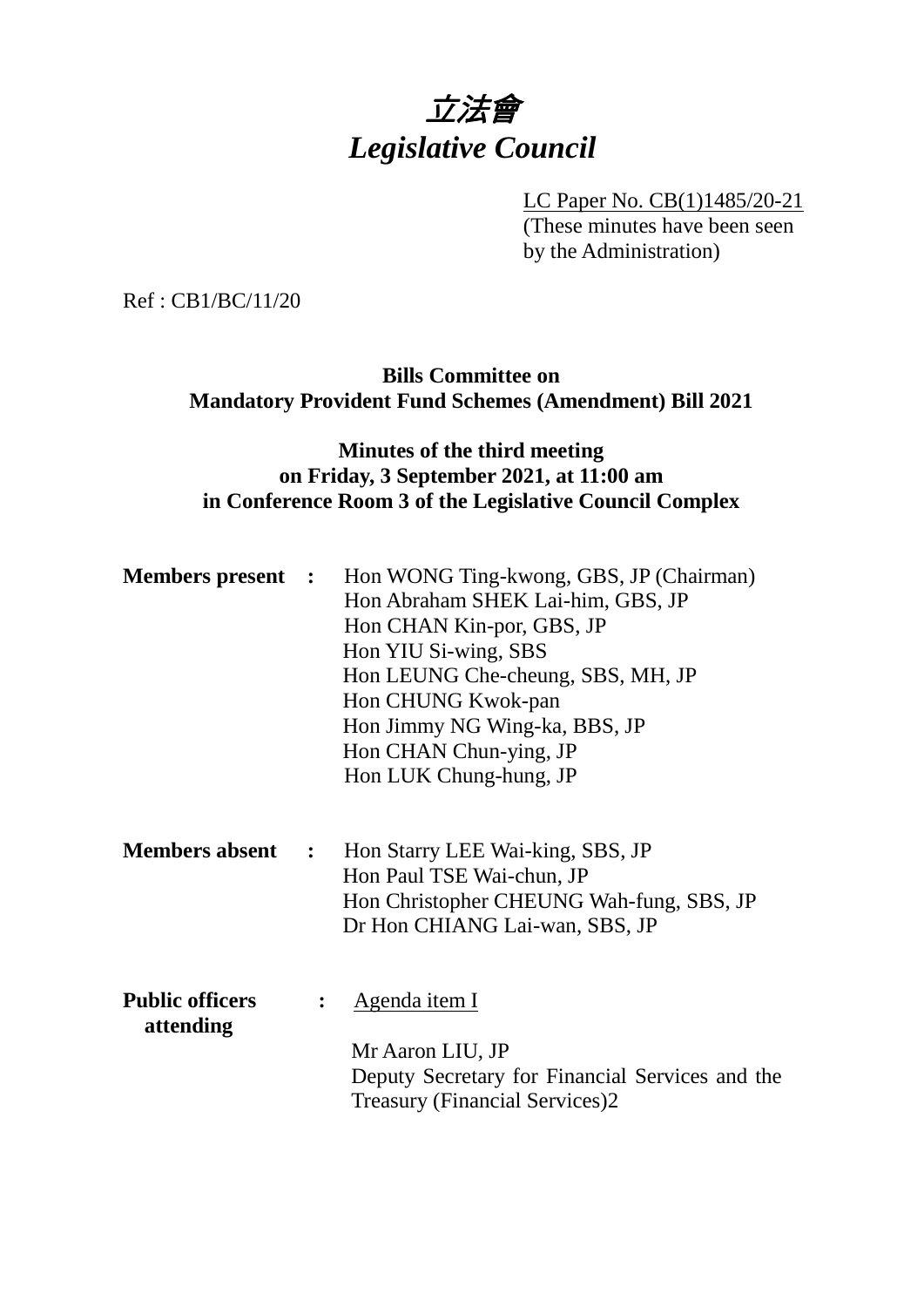# 立法會 *Legislative Council*

LC Paper No. CB(1)1485/20-21 (These minutes have been seen by the Administration)

Ref : CB1/BC/11/20

## **Bills Committee on Mandatory Provident Fund Schemes (Amendment) Bill 2021**

# **Minutes of the third meeting on Friday, 3 September 2021, at 11:00 am in Conference Room 3 of the Legislative Council Complex**

| <b>Members present :</b>            |                      | Hon WONG Ting-kwong, GBS, JP (Chairman)<br>Hon Abraham SHEK Lai-him, GBS, JP<br>Hon CHAN Kin-por, GBS, JP<br>Hon YIU Si-wing, SBS<br>Hon LEUNG Che-cheung, SBS, MH, JP<br>Hon CHUNG Kwok-pan<br>Hon Jimmy NG Wing-ka, BBS, JP<br>Hon CHAN Chun-ying, JP<br>Hon LUK Chung-hung, JP |
|-------------------------------------|----------------------|-----------------------------------------------------------------------------------------------------------------------------------------------------------------------------------------------------------------------------------------------------------------------------------|
| <b>Members absent</b>               | $\ddot{\phantom{1}}$ | Hon Starry LEE Wai-king, SBS, JP<br>Hon Paul TSE Wai-chun, JP<br>Hon Christopher CHEUNG Wah-fung, SBS, JP<br>Dr Hon CHIANG Lai-wan, SBS, JP                                                                                                                                       |
| <b>Public officers</b><br>attending |                      | <u>Agenda item I</u><br>Mr Aaron LIU, JP<br>Deputy Secretary for Financial Services and the<br><b>Treasury (Financial Services)2</b>                                                                                                                                              |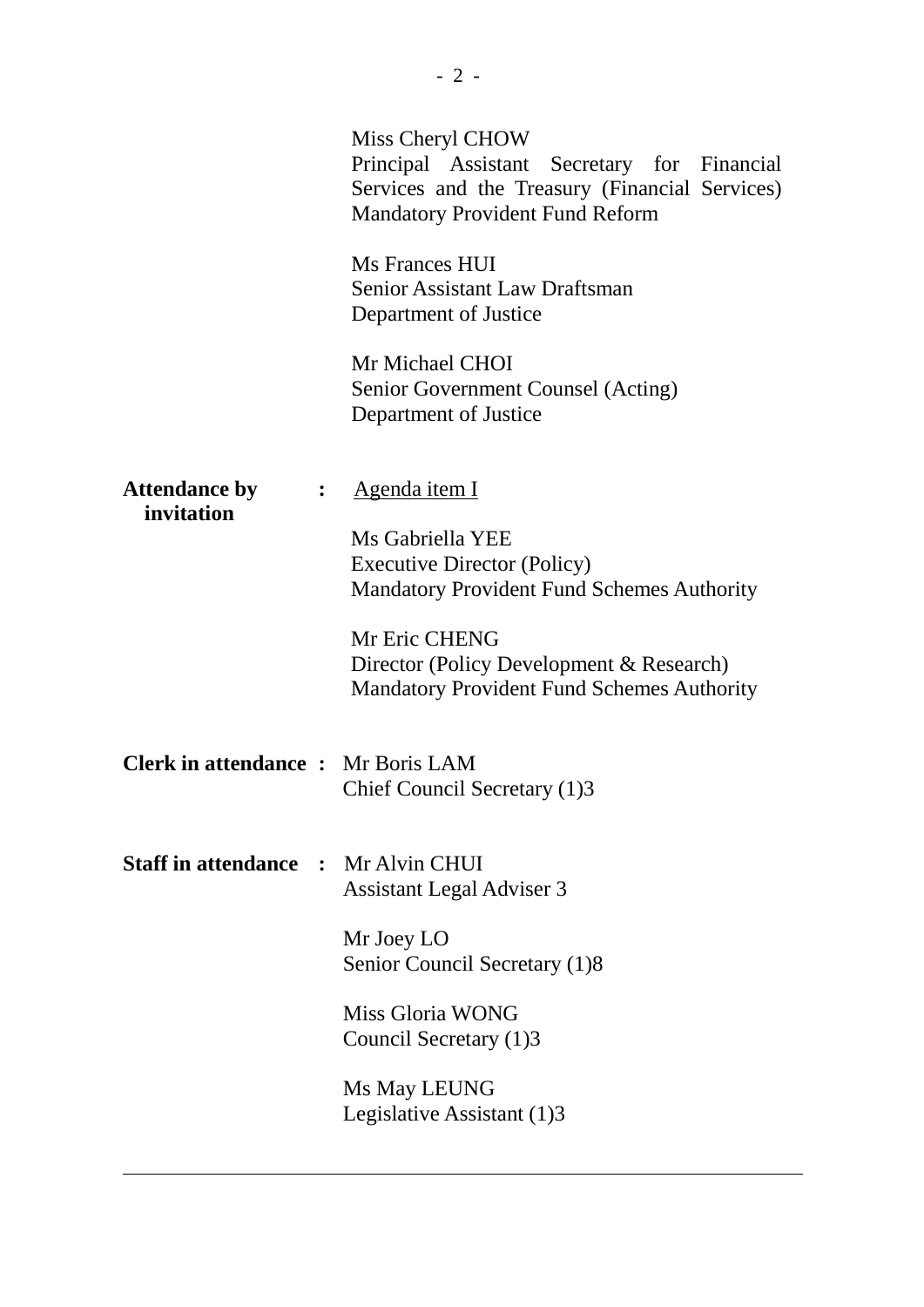|                                            | Miss Cheryl CHOW<br>Principal Assistant Secretary for Financial<br>Services and the Treasury (Financial Services)<br><b>Mandatory Provident Fund Reform</b>                                                                                    |
|--------------------------------------------|------------------------------------------------------------------------------------------------------------------------------------------------------------------------------------------------------------------------------------------------|
|                                            | Ms Frances HUI<br>Senior Assistant Law Draftsman<br>Department of Justice                                                                                                                                                                      |
|                                            | Mr Michael CHOI<br>Senior Government Counsel (Acting)<br>Department of Justice                                                                                                                                                                 |
| <b>Attendance by</b><br>invitation         | Agenda item I<br>Ms Gabriella YEE<br><b>Executive Director (Policy)</b><br><b>Mandatory Provident Fund Schemes Authority</b><br>Mr Eric CHENG<br>Director (Policy Development & Research)<br><b>Mandatory Provident Fund Schemes Authority</b> |
| <b>Clerk in attendance :</b> Mr Boris LAM  | Chief Council Secretary (1)3                                                                                                                                                                                                                   |
| <b>Staff in attendance : Mr Alvin CHUI</b> | <b>Assistant Legal Adviser 3</b>                                                                                                                                                                                                               |
|                                            | Mr Joey LO<br>Senior Council Secretary (1)8                                                                                                                                                                                                    |
|                                            | Miss Gloria WONG<br>Council Secretary (1)3                                                                                                                                                                                                     |
|                                            | Ms May LEUNG<br>Legislative Assistant (1)3                                                                                                                                                                                                     |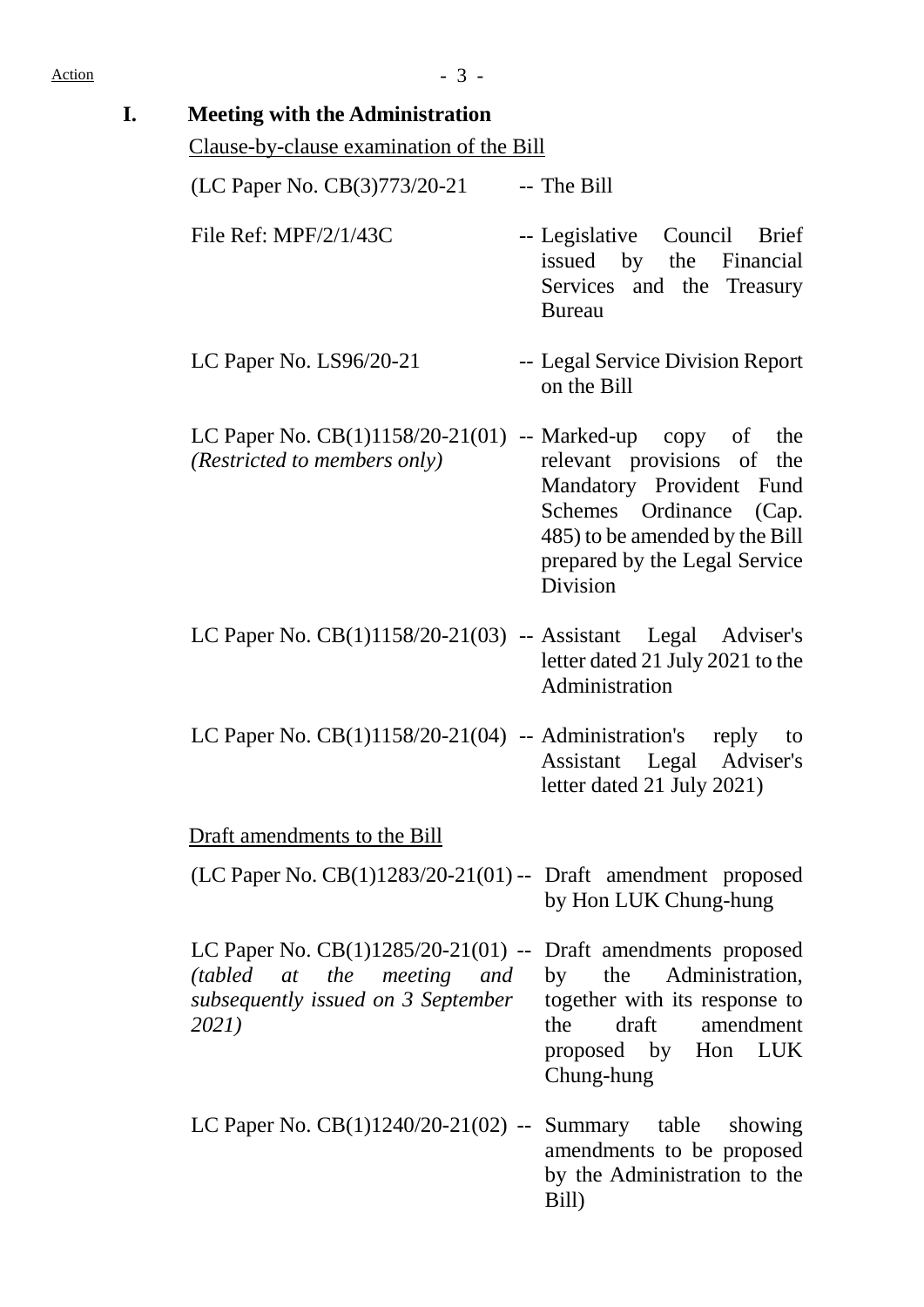| <b>Meeting with the Administration</b><br>Clause-by-clause examination of the Bill                                                           |                                                                                                                                                                         |
|----------------------------------------------------------------------------------------------------------------------------------------------|-------------------------------------------------------------------------------------------------------------------------------------------------------------------------|
| (LC Paper No. CB(3)773/20-21                                                                                                                 | -- The Bill                                                                                                                                                             |
|                                                                                                                                              |                                                                                                                                                                         |
| File Ref: $MPF/2/1/43C$                                                                                                                      | -- Legislative Council<br><b>Brief</b><br>issued by the Financial<br>Services and the Treasury<br><b>Bureau</b>                                                         |
| LC Paper No. $LS96/20-21$                                                                                                                    | -- Legal Service Division Report<br>on the Bill                                                                                                                         |
| LC Paper No. $CB(1)1158/20-21(01)$ -- Marked-up copy of<br>(Restricted to members only)                                                      | the<br>relevant provisions of the<br>Mandatory Provident Fund<br>Schemes Ordinance (Cap.<br>485) to be amended by the Bill<br>prepared by the Legal Service<br>Division |
| LC Paper No. $CB(1)1158/20-21(03)$ -- Assistant Legal Adviser's                                                                              | letter dated 21 July 2021 to the<br>Administration                                                                                                                      |
| LC Paper No. $CB(1)1158/20-21(04)$ -- Administration's reply                                                                                 | to<br>Assistant Legal Adviser's<br>letter dated 21 July 2021)                                                                                                           |
| Draft amendments to the Bill                                                                                                                 |                                                                                                                                                                         |
| $(LC$ Paper No. $CB(1)1283/20-21(01)$ -- Draft amendment proposed                                                                            | by Hon LUK Chung-hung                                                                                                                                                   |
| LC Paper No. $CB(1)1285/20-21(01)$ -- Draft amendments proposed<br>(tabled at the meeting and<br>subsequently issued on 3 September<br>2021) | by the Administration,<br>together with its response to<br>draft amendment<br>the<br>proposed by Hon LUK<br>Chung-hung                                                  |
| LC Paper No. $CB(1)1240/20-21(02)$ -- Summary table showing                                                                                  | amendments to be proposed<br>by the Administration to the<br>Bill)                                                                                                      |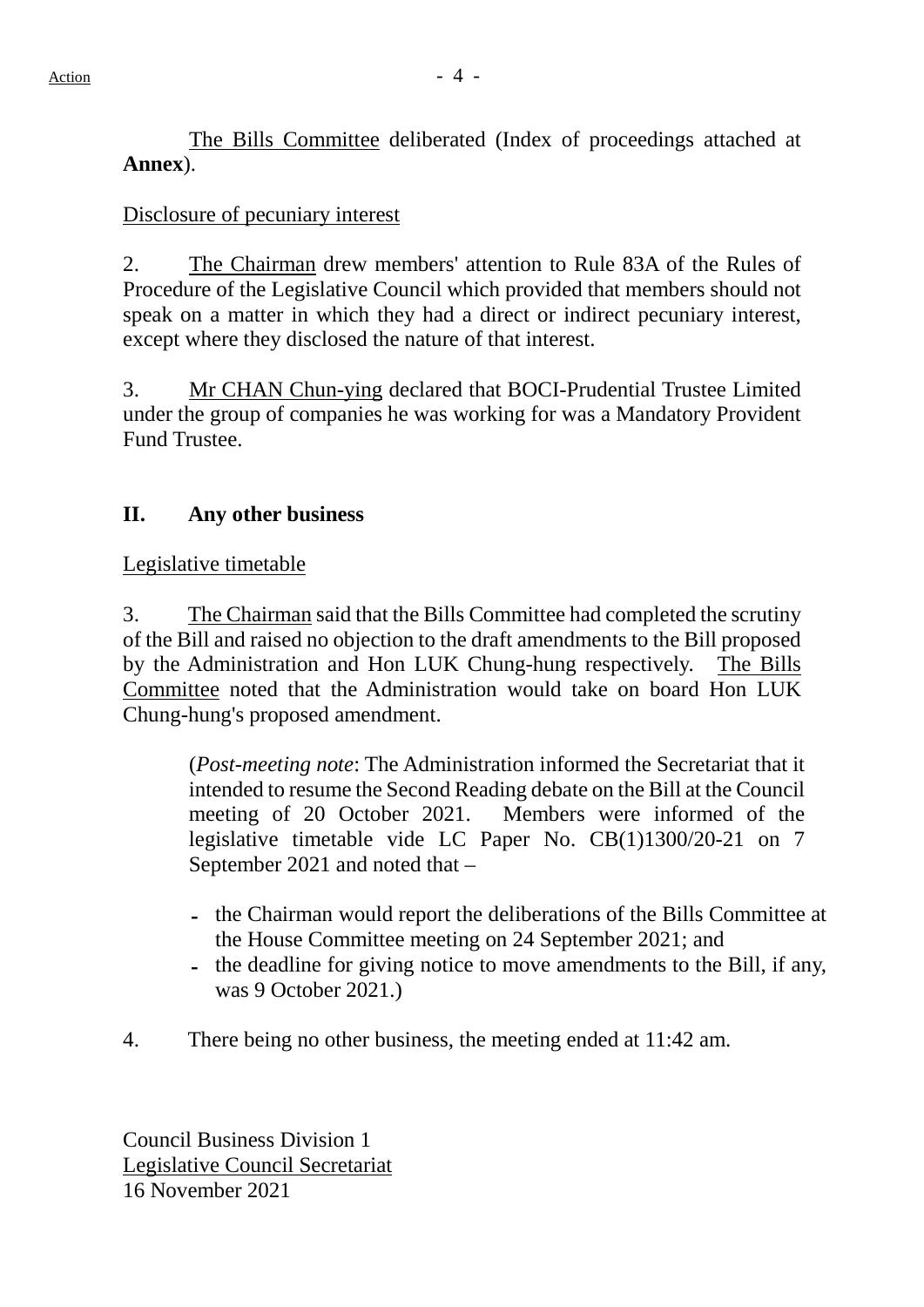The Bills Committee deliberated (Index of proceedings attached at **Annex**).

## Disclosure of pecuniary interest

2. The Chairman drew members' attention to Rule 83A of the Rules of Procedure of the Legislative Council which provided that members should not speak on a matter in which they had a direct or indirect pecuniary interest, except where they disclosed the nature of that interest.

3. Mr CHAN Chun-ying declared that BOCI-Prudential Trustee Limited under the group of companies he was working for was a Mandatory Provident Fund Trustee.

# **II. Any other business**

#### Legislative timetable

3. The Chairman said that the Bills Committee had completed the scrutiny of the Bill and raised no objection to the draft amendments to the Bill proposed by the Administration and Hon LUK Chung-hung respectively. The Bills Committee noted that the Administration would take on board Hon LUK Chung-hung's proposed amendment.

(*Post-meeting note*: The Administration informed the Secretariat that it intended to resume the Second Reading debate on the Bill at the Council meeting of 20 October 2021. Members were informed of the legislative timetable vide LC Paper No. CB(1)1300/20-21 on 7 September 2021 and noted that –

- the Chairman would report the deliberations of the Bills Committee at the House Committee meeting on 24 September 2021; and
- the deadline for giving notice to move amendments to the Bill, if any, was 9 October 2021.)
- 4. There being no other business, the meeting ended at 11:42 am.

Council Business Division 1 Legislative Council Secretariat 16 November 2021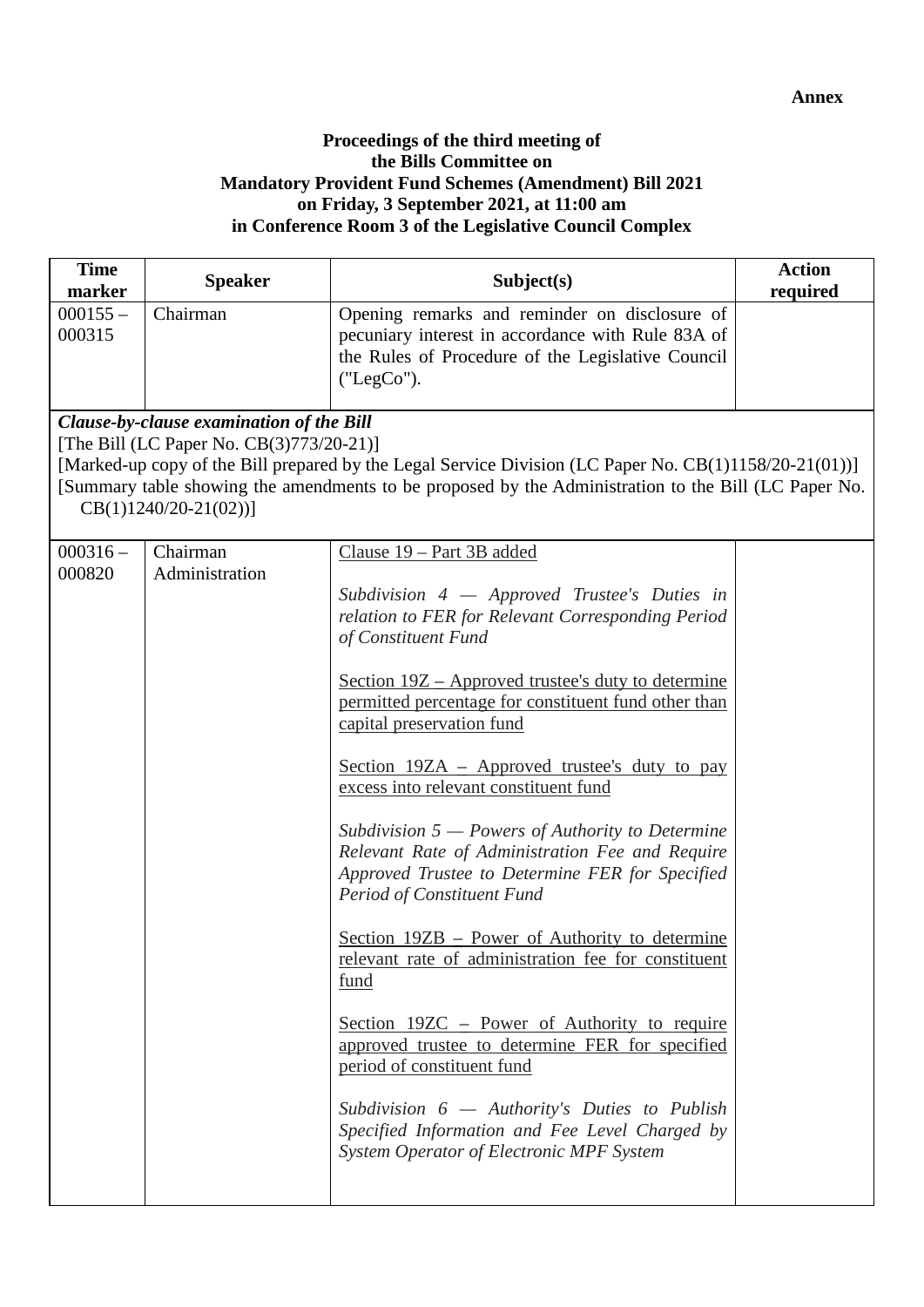#### **Proceedings of the third meeting of the Bills Committee on Mandatory Provident Fund Schemes (Amendment) Bill 2021 on Friday, 3 September 2021, at 11:00 am in Conference Room 3 of the Legislative Council Complex**

| <b>Time</b><br>marker | <b>Speaker</b>                                                                                                 | Subject(s)                                                                                                                                                                                                                                                                                                                                                                                                                                                                                                                                                                                                                                                                                                                                                                                                                                                                                                                                                                                                     | <b>Action</b><br>required |
|-----------------------|----------------------------------------------------------------------------------------------------------------|----------------------------------------------------------------------------------------------------------------------------------------------------------------------------------------------------------------------------------------------------------------------------------------------------------------------------------------------------------------------------------------------------------------------------------------------------------------------------------------------------------------------------------------------------------------------------------------------------------------------------------------------------------------------------------------------------------------------------------------------------------------------------------------------------------------------------------------------------------------------------------------------------------------------------------------------------------------------------------------------------------------|---------------------------|
| $000155 -$<br>000315  | Chairman                                                                                                       | Opening remarks and reminder on disclosure of<br>pecuniary interest in accordance with Rule 83A of<br>the Rules of Procedure of the Legislative Council<br>("LegCo").                                                                                                                                                                                                                                                                                                                                                                                                                                                                                                                                                                                                                                                                                                                                                                                                                                          |                           |
|                       | Clause-by-clause examination of the Bill<br>[The Bill (LC Paper No. CB(3)773/20-21)]<br>$CB(1)1240/20-21(02))$ | [Marked-up copy of the Bill prepared by the Legal Service Division (LC Paper No. CB(1)1158/20-21(01))]<br>[Summary table showing the amendments to be proposed by the Administration to the Bill (LC Paper No.                                                                                                                                                                                                                                                                                                                                                                                                                                                                                                                                                                                                                                                                                                                                                                                                 |                           |
| $000316 -$<br>000820  | Chairman<br>Administration                                                                                     | Clause 19 - Part 3B added<br>Subdivision $4$ - Approved Trustee's Duties in<br>relation to FER for Relevant Corresponding Period<br>of Constituent Fund<br><u>Section 19Z – Approved trustee's duty to determine</u><br>permitted percentage for constituent fund other than<br>capital preservation fund<br>Section 19ZA – Approved trustee's duty to pay<br>excess into relevant constituent fund<br>Subdivision $5$ – Powers of Authority to Determine<br>Relevant Rate of Administration Fee and Require<br>Approved Trustee to Determine FER for Specified<br>Period of Constituent Fund<br><u>Section 19ZB – Power of Authority to determine</u><br>relevant rate of administration fee for constituent<br>fund<br><u>Section 19ZC – Power of Authority to require</u><br>approved trustee to determine FER for specified<br>period of constituent fund<br>Subdivision $6$ - Authority's Duties to Publish<br>Specified Information and Fee Level Charged by<br>System Operator of Electronic MPF System |                           |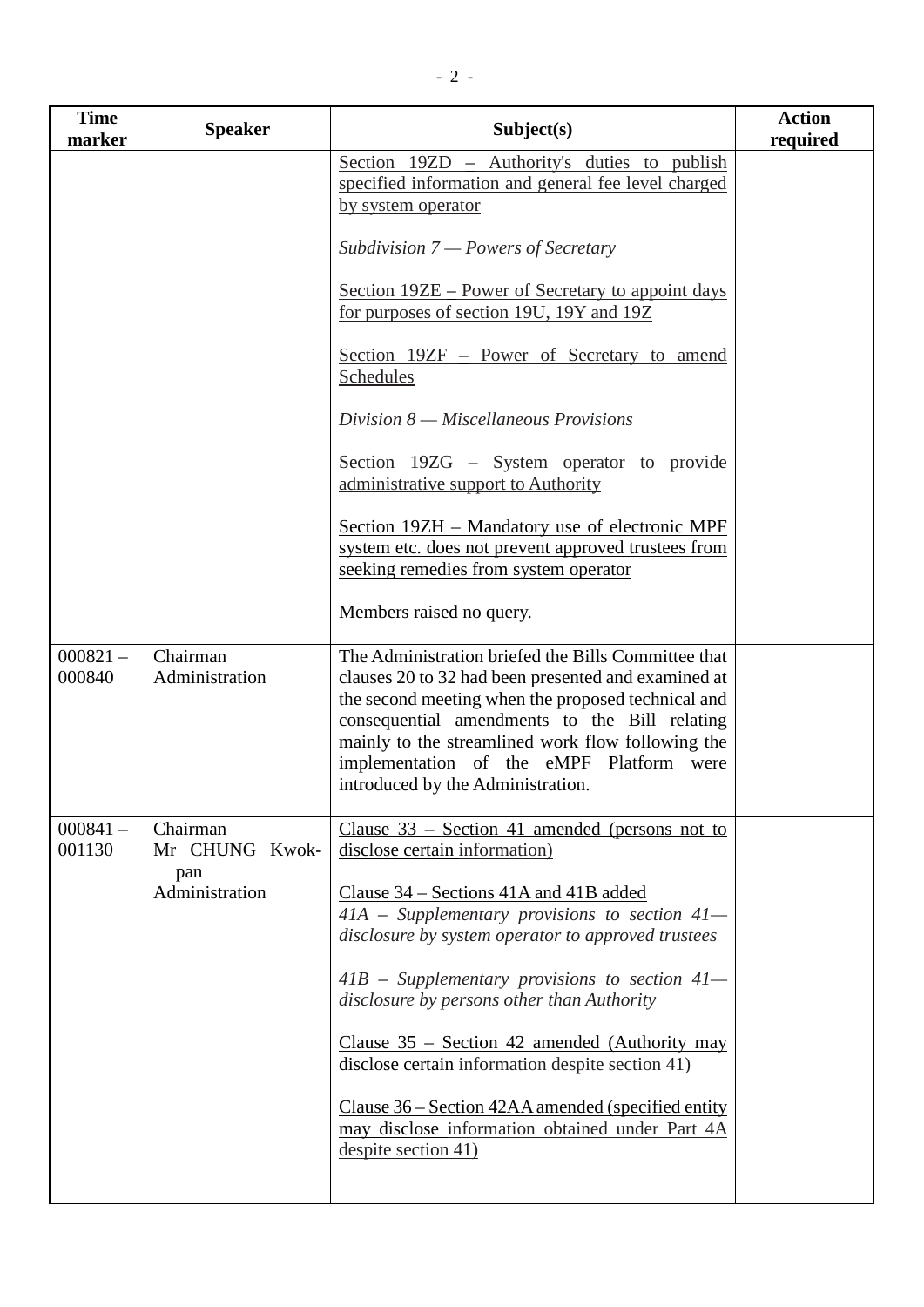| <b>Time</b><br>marker | <b>Speaker</b>             | Subject(s)                                                                                                                                                                                                                                                                                                                                              | <b>Action</b><br>required |
|-----------------------|----------------------------|---------------------------------------------------------------------------------------------------------------------------------------------------------------------------------------------------------------------------------------------------------------------------------------------------------------------------------------------------------|---------------------------|
|                       |                            | Section 19ZD – Authority's duties to publish<br>specified information and general fee level charged<br>by system operator                                                                                                                                                                                                                               |                           |
|                       |                            | Subdivision $7$ – Powers of Secretary                                                                                                                                                                                                                                                                                                                   |                           |
|                       |                            | Section 19ZE – Power of Secretary to appoint days<br>for purposes of section 19U, 19Y and 19Z                                                                                                                                                                                                                                                           |                           |
|                       |                            | Section 19ZF – Power of Secretary to amend<br>Schedules                                                                                                                                                                                                                                                                                                 |                           |
|                       |                            | $Division 8 - Miscellaneous Provisions$                                                                                                                                                                                                                                                                                                                 |                           |
|                       |                            | Section $19ZG - System operator$ to provide<br>administrative support to Authority                                                                                                                                                                                                                                                                      |                           |
|                       |                            | Section 19ZH – Mandatory use of electronic MPF<br>system etc. does not prevent approved trustees from<br>seeking remedies from system operator                                                                                                                                                                                                          |                           |
|                       |                            | Members raised no query.                                                                                                                                                                                                                                                                                                                                |                           |
| $000821 -$<br>000840  | Chairman<br>Administration | The Administration briefed the Bills Committee that<br>clauses 20 to 32 had been presented and examined at<br>the second meeting when the proposed technical and<br>consequential amendments to the Bill relating<br>mainly to the streamlined work flow following the<br>implementation of the eMPF Platform were<br>introduced by the Administration. |                           |
| $000841 -$<br>001130  | Chairman<br>Mr CHUNG Kwok- | Clause $33$ – Section 41 amended (persons not to<br>disclose certain information)                                                                                                                                                                                                                                                                       |                           |
|                       | pan<br>Administration      | Clause 34 – Sections 41A and 41B added<br>$41A$ – Supplementary provisions to section $41-$<br>disclosure by system operator to approved trustees                                                                                                                                                                                                       |                           |
|                       |                            | $41B$ – Supplementary provisions to section $41-$<br>disclosure by persons other than Authority                                                                                                                                                                                                                                                         |                           |
|                       |                            | Clause $35$ – Section 42 amended (Authority may<br>disclose certain information despite section 41)                                                                                                                                                                                                                                                     |                           |
|                       |                            | Clause 36 – Section 42AA amended (specified entity<br>may disclose information obtained under Part 4A<br>despite section 41)                                                                                                                                                                                                                            |                           |
|                       |                            |                                                                                                                                                                                                                                                                                                                                                         |                           |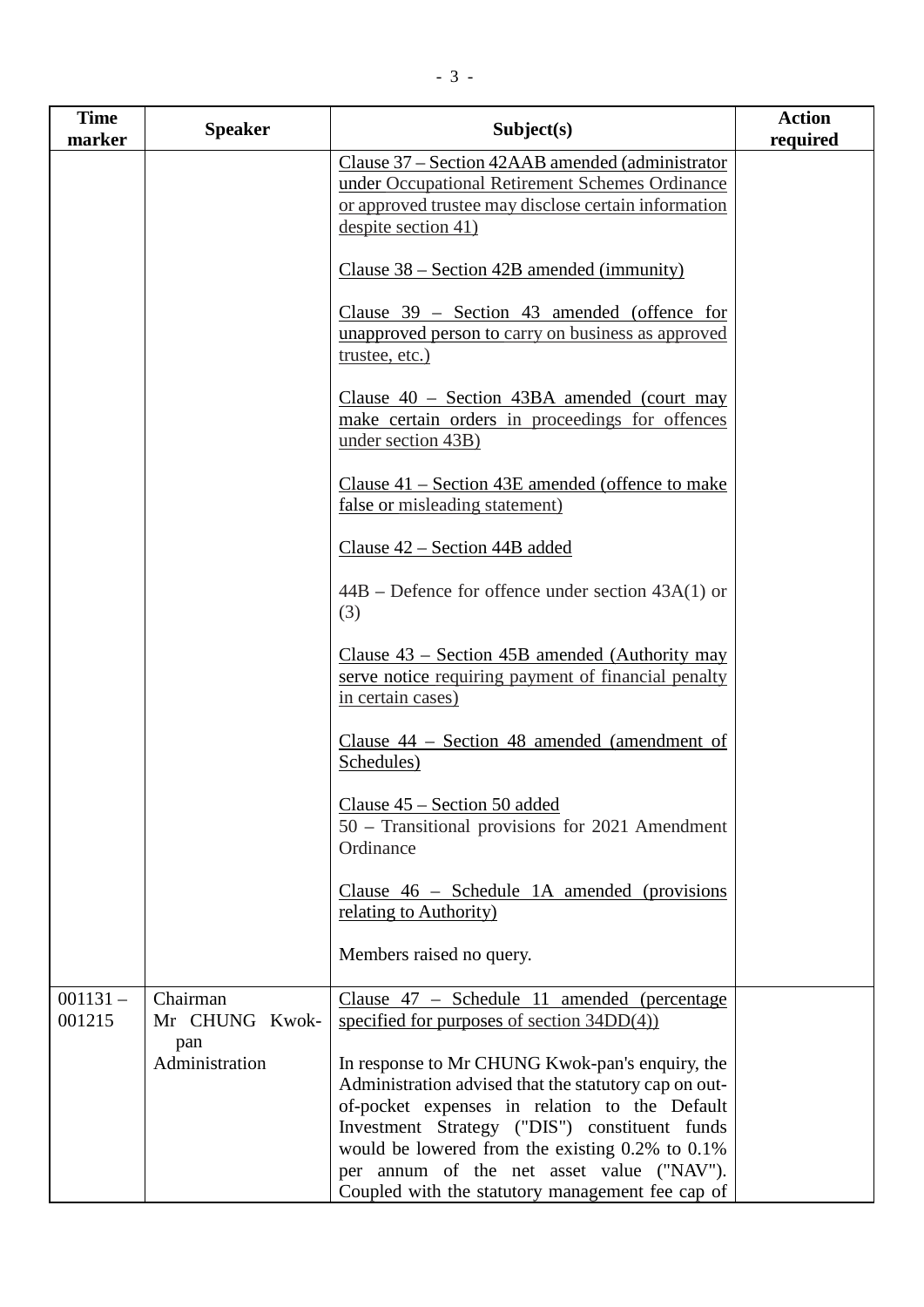| <b>Time</b><br>marker | <b>Speaker</b>                    | Subject(s)                                                                                                                                                                                                                                                                                                                                                           | <b>Action</b><br>required |
|-----------------------|-----------------------------------|----------------------------------------------------------------------------------------------------------------------------------------------------------------------------------------------------------------------------------------------------------------------------------------------------------------------------------------------------------------------|---------------------------|
|                       |                                   | Clause 37 – Section 42AAB amended (administrator<br>under Occupational Retirement Schemes Ordinance<br>or approved trustee may disclose certain information<br>despite section 41)                                                                                                                                                                                   |                           |
|                       |                                   | Clause $38$ – Section 42B amended (immunity)                                                                                                                                                                                                                                                                                                                         |                           |
|                       |                                   | Clause $39$ – Section 43 amended (offence for<br>unapproved person to carry on business as approved<br>trustee, etc.)                                                                                                                                                                                                                                                |                           |
|                       |                                   | Clause $40$ – Section $43BA$ amended (court may<br>make certain orders in proceedings for offences<br>under section 43B)                                                                                                                                                                                                                                             |                           |
|                       |                                   | Clause $41$ – Section $43E$ amended (offence to make<br>false or misleading statement)                                                                                                                                                                                                                                                                               |                           |
|                       |                                   | Clause 42 – Section 44B added                                                                                                                                                                                                                                                                                                                                        |                           |
|                       |                                   | $44B$ – Defence for offence under section $43A(1)$ or<br>(3)                                                                                                                                                                                                                                                                                                         |                           |
|                       |                                   | Clause $43$ – Section 45B amended (Authority may<br>serve notice requiring payment of financial penalty<br>in certain cases)                                                                                                                                                                                                                                         |                           |
|                       |                                   | Clause 44 – Section 48 amended (amendment of<br>Schedules)                                                                                                                                                                                                                                                                                                           |                           |
|                       |                                   | Clause 45 – Section 50 added<br>50 – Transitional provisions for 2021 Amendment<br>Ordinance                                                                                                                                                                                                                                                                         |                           |
|                       |                                   | Clause $46$ – Schedule 1A amended (provisions<br><u>relating to Authority)</u>                                                                                                                                                                                                                                                                                       |                           |
|                       |                                   | Members raised no query.                                                                                                                                                                                                                                                                                                                                             |                           |
| $001131 -$<br>001215  | Chairman<br>Mr CHUNG Kwok-<br>pan | Clause $47$ – Schedule 11 amended (percentage<br>specified for purposes of section $34DD(4)$                                                                                                                                                                                                                                                                         |                           |
|                       | Administration                    | In response to Mr CHUNG Kwok-pan's enquiry, the<br>Administration advised that the statutory cap on out-<br>of-pocket expenses in relation to the Default<br>Investment Strategy ("DIS") constituent funds<br>would be lowered from the existing $0.2\%$ to $0.1\%$<br>per annum of the net asset value ("NAV").<br>Coupled with the statutory management fee cap of |                           |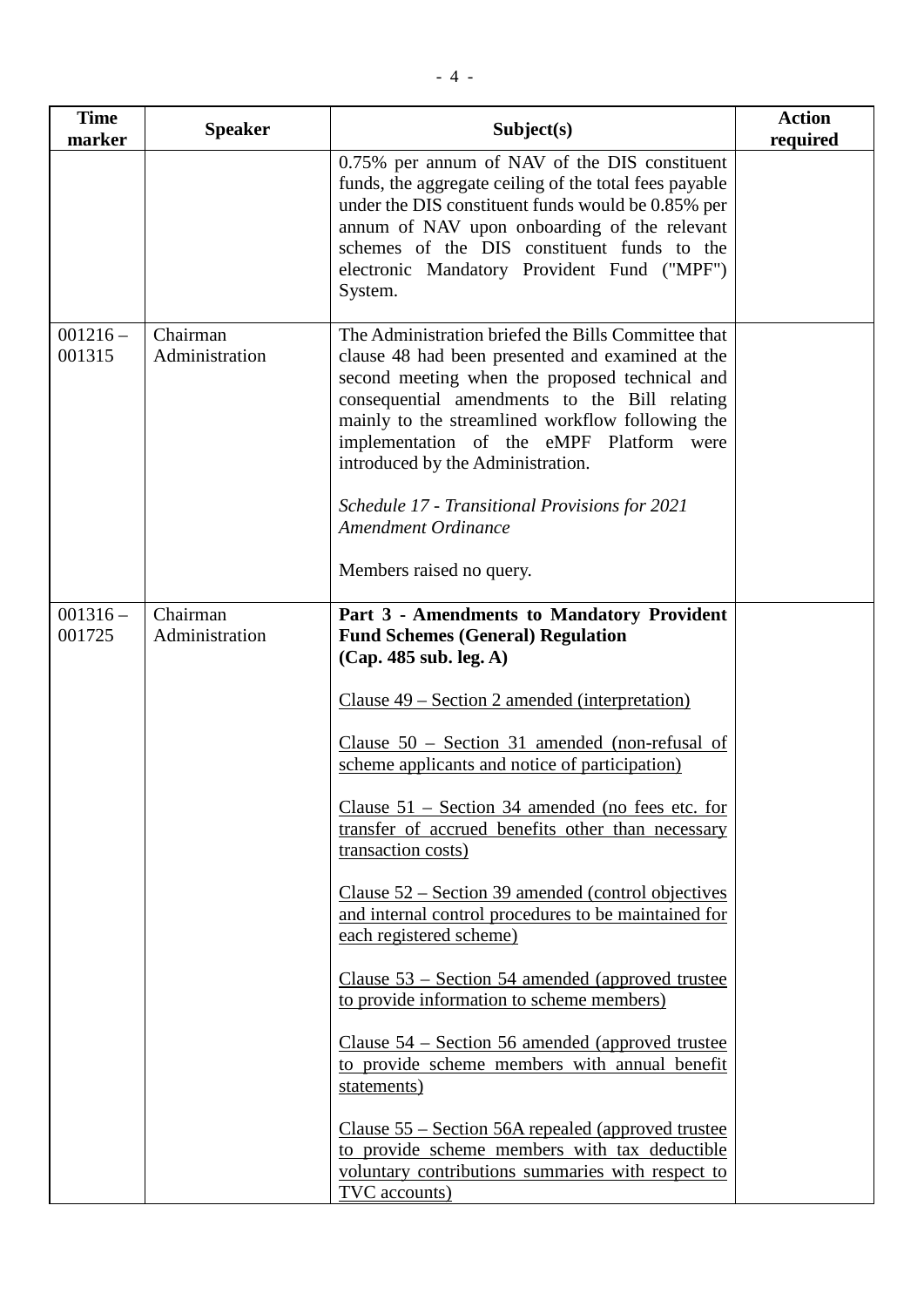| <b>Time</b><br>marker | <b>Speaker</b>             | Subject(s)                                                                                                                                                                                                                                                                                                                                                                                                                                                  | <b>Action</b><br>required |
|-----------------------|----------------------------|-------------------------------------------------------------------------------------------------------------------------------------------------------------------------------------------------------------------------------------------------------------------------------------------------------------------------------------------------------------------------------------------------------------------------------------------------------------|---------------------------|
|                       |                            | 0.75% per annum of NAV of the DIS constituent<br>funds, the aggregate ceiling of the total fees payable<br>under the DIS constituent funds would be 0.85% per<br>annum of NAV upon onboarding of the relevant<br>schemes of the DIS constituent funds to the<br>electronic Mandatory Provident Fund ("MPF")<br>System.                                                                                                                                      |                           |
| $001216 -$<br>001315  | Chairman<br>Administration | The Administration briefed the Bills Committee that<br>clause 48 had been presented and examined at the<br>second meeting when the proposed technical and<br>consequential amendments to the Bill relating<br>mainly to the streamlined workflow following the<br>implementation of the eMPF Platform were<br>introduced by the Administration.<br>Schedule 17 - Transitional Provisions for 2021<br><b>Amendment Ordinance</b><br>Members raised no query. |                           |
| $001316 -$<br>001725  | Chairman<br>Administration | Part 3 - Amendments to Mandatory Provident<br><b>Fund Schemes (General) Regulation</b><br>(Cap. 485 sub. leg. A)                                                                                                                                                                                                                                                                                                                                            |                           |
|                       |                            | <u>Clause 49 – Section 2 amended (interpretation)</u>                                                                                                                                                                                                                                                                                                                                                                                                       |                           |
|                       |                            | Clause $50$ – Section 31 amended (non-refusal of<br>scheme applicants and notice of participation)                                                                                                                                                                                                                                                                                                                                                          |                           |
|                       |                            | Clause 51 – Section 34 amended (no fees etc. for<br>transfer of accrued benefits other than necessary<br>transaction costs)                                                                                                                                                                                                                                                                                                                                 |                           |
|                       |                            | Clause $52$ – Section 39 amended (control objectives<br>and internal control procedures to be maintained for<br>each registered scheme)                                                                                                                                                                                                                                                                                                                     |                           |
|                       |                            | <u>Clause 53 – Section 54 amended (approved trustee</u><br>to provide information to scheme members)                                                                                                                                                                                                                                                                                                                                                        |                           |
|                       |                            | Clause $54$ – Section 56 amended (approved trustee<br>to provide scheme members with annual benefit<br>statements)                                                                                                                                                                                                                                                                                                                                          |                           |
|                       |                            | <u>Clause 55 – Section 56A repealed (approved trustee</u><br>to provide scheme members with tax deductible<br>voluntary contributions summaries with respect to<br>TVC accounts)                                                                                                                                                                                                                                                                            |                           |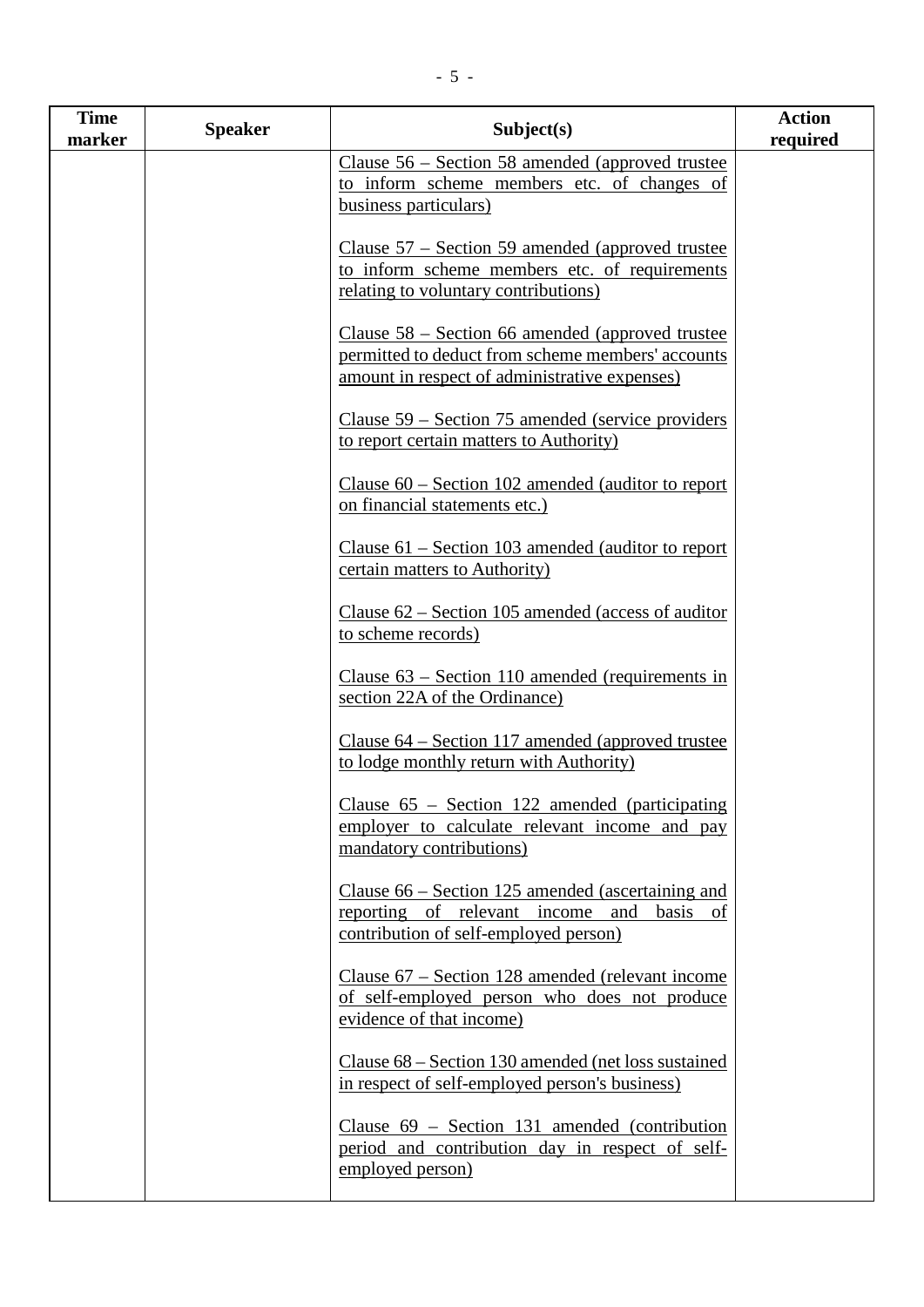| <b>Time</b><br>marker | <b>Speaker</b> | Subject(s)                                                                                                                                               | <b>Action</b><br>required |
|-----------------------|----------------|----------------------------------------------------------------------------------------------------------------------------------------------------------|---------------------------|
|                       |                | Clause 56 – Section 58 amended (approved trustee<br>to inform scheme members etc. of changes of<br>business particulars)                                 |                           |
|                       |                | Clause $57$ – Section 59 amended (approved trustee<br>to inform scheme members etc. of requirements<br>relating to voluntary contributions)              |                           |
|                       |                | Clause $58$ – Section 66 amended (approved trustee<br>permitted to deduct from scheme members' accounts<br>amount in respect of administrative expenses) |                           |
|                       |                | Clause 59 – Section 75 amended (service providers)<br>to report certain matters to Authority)                                                            |                           |
|                       |                | Clause $60$ – Section 102 amended (auditor to report<br>on financial statements etc.)                                                                    |                           |
|                       |                | Clause $61$ – Section 103 amended (auditor to report<br>certain matters to Authority)                                                                    |                           |
|                       |                | Clause $62$ – Section 105 amended (access of auditor<br>to scheme records)                                                                               |                           |
|                       |                | Clause $63$ – Section 110 amended (requirements in<br>section 22A of the Ordinance)                                                                      |                           |
|                       |                | Clause $64$ – Section 117 amended (approved trustee<br>to lodge monthly return with Authority)                                                           |                           |
|                       |                | Clause $65$ – Section 122 amended (participating<br>employer to calculate relevant income and pay<br>mandatory contributions)                            |                           |
|                       |                | Clause $66$ – Section 125 amended (ascertaining and<br>reporting of relevant income and<br>basis of<br>contribution of self-employed person)             |                           |
|                       |                | Clause 67 – Section 128 amended (relevant income<br>of self-employed person who does not produce<br>evidence of that income)                             |                           |
|                       |                | Clause $68 -$ Section 130 amended (net loss sustained<br>in respect of self-employed person's business)                                                  |                           |
|                       |                | Clause $69$ – Section 131 amended (contribution<br>period and contribution day in respect of self-<br>employed person)                                   |                           |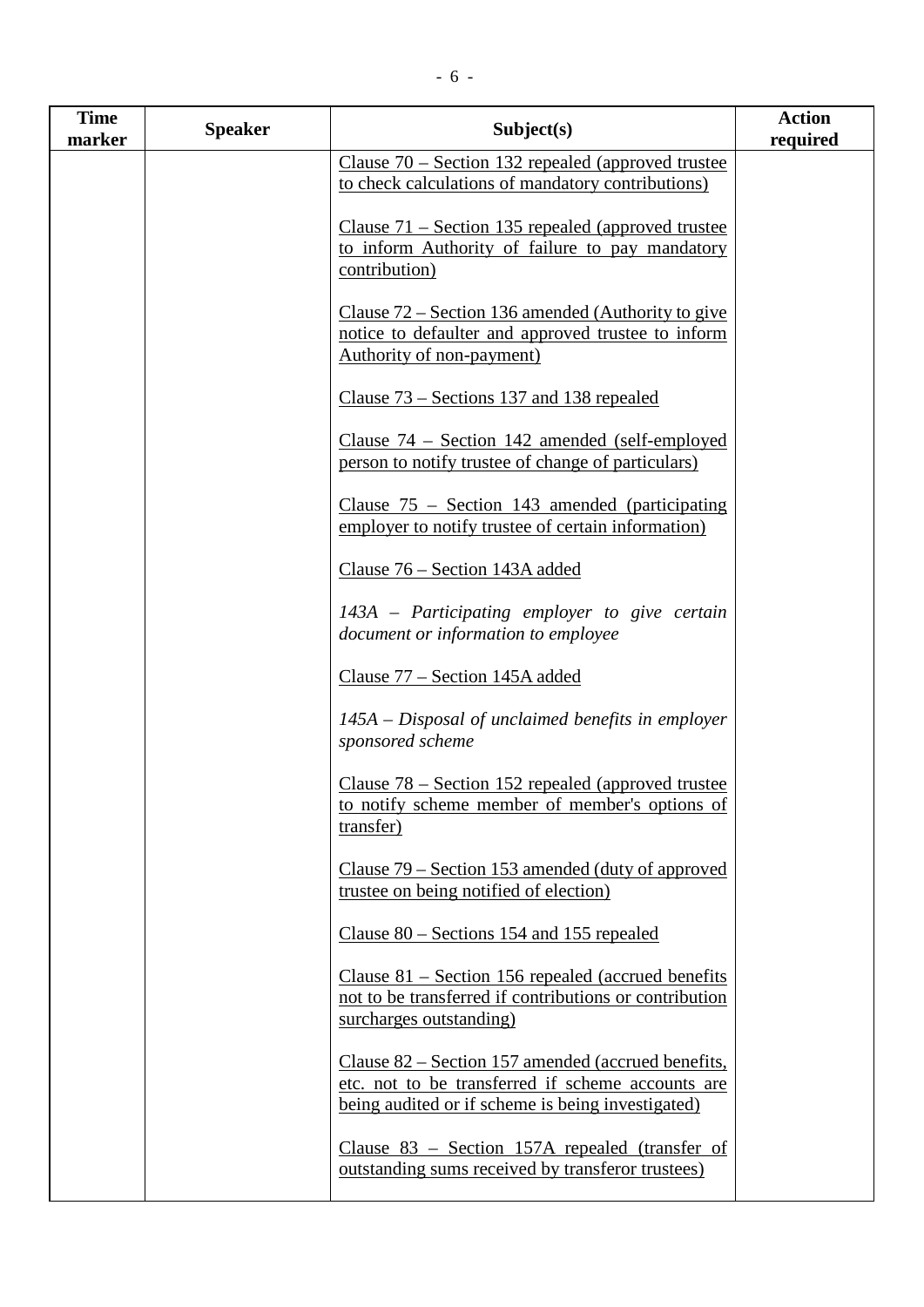| <b>Time</b><br>marker | <b>Speaker</b> | Subject(s)                                                                                                                                                   | <b>Action</b><br>required |
|-----------------------|----------------|--------------------------------------------------------------------------------------------------------------------------------------------------------------|---------------------------|
|                       |                | Clause $70$ – Section 132 repealed (approved trustee<br>to check calculations of mandatory contributions)                                                    |                           |
|                       |                | Clause $71$ – Section 135 repealed (approved trustee<br>to inform Authority of failure to pay mandatory<br>contribution)                                     |                           |
|                       |                | Clause $72$ – Section 136 amended (Authority to give<br>notice to defaulter and approved trustee to inform<br>Authority of non-payment)                      |                           |
|                       |                | Clause 73 – Sections 137 and 138 repealed                                                                                                                    |                           |
|                       |                | Clause $74$ – Section 142 amended (self-employed<br>person to notify trustee of change of particulars)                                                       |                           |
|                       |                | Clause $75$ – Section 143 amended (participating<br>employer to notify trustee of certain information)                                                       |                           |
|                       |                | Clause 76 – Section 143A added                                                                                                                               |                           |
|                       |                | 143A – Participating employer to give certain<br>document or information to employee                                                                         |                           |
|                       |                | Clause 77 – Section 145A added                                                                                                                               |                           |
|                       |                | 145A – Disposal of unclaimed benefits in employer<br>sponsored scheme                                                                                        |                           |
|                       |                | Clause $78$ – Section 152 repealed (approved trustee)<br>to notify scheme member of member's options of<br>transfer)                                         |                           |
|                       |                | Clause 79 – Section 153 amended (duty of approved<br>trustee on being notified of election)                                                                  |                           |
|                       |                | Clause 80 – Sections 154 and 155 repealed                                                                                                                    |                           |
|                       |                | Clause $81$ – Section 156 repealed (accrued benefits<br>not to be transferred if contributions or contribution<br>surcharges outstanding)                    |                           |
|                       |                | Clause 82 – Section 157 amended (accrued benefits,<br>etc. not to be transferred if scheme accounts are<br>being audited or if scheme is being investigated) |                           |
|                       |                | Clause $83$ – Section 157A repealed (transfer of<br>outstanding sums received by transferor trustees)                                                        |                           |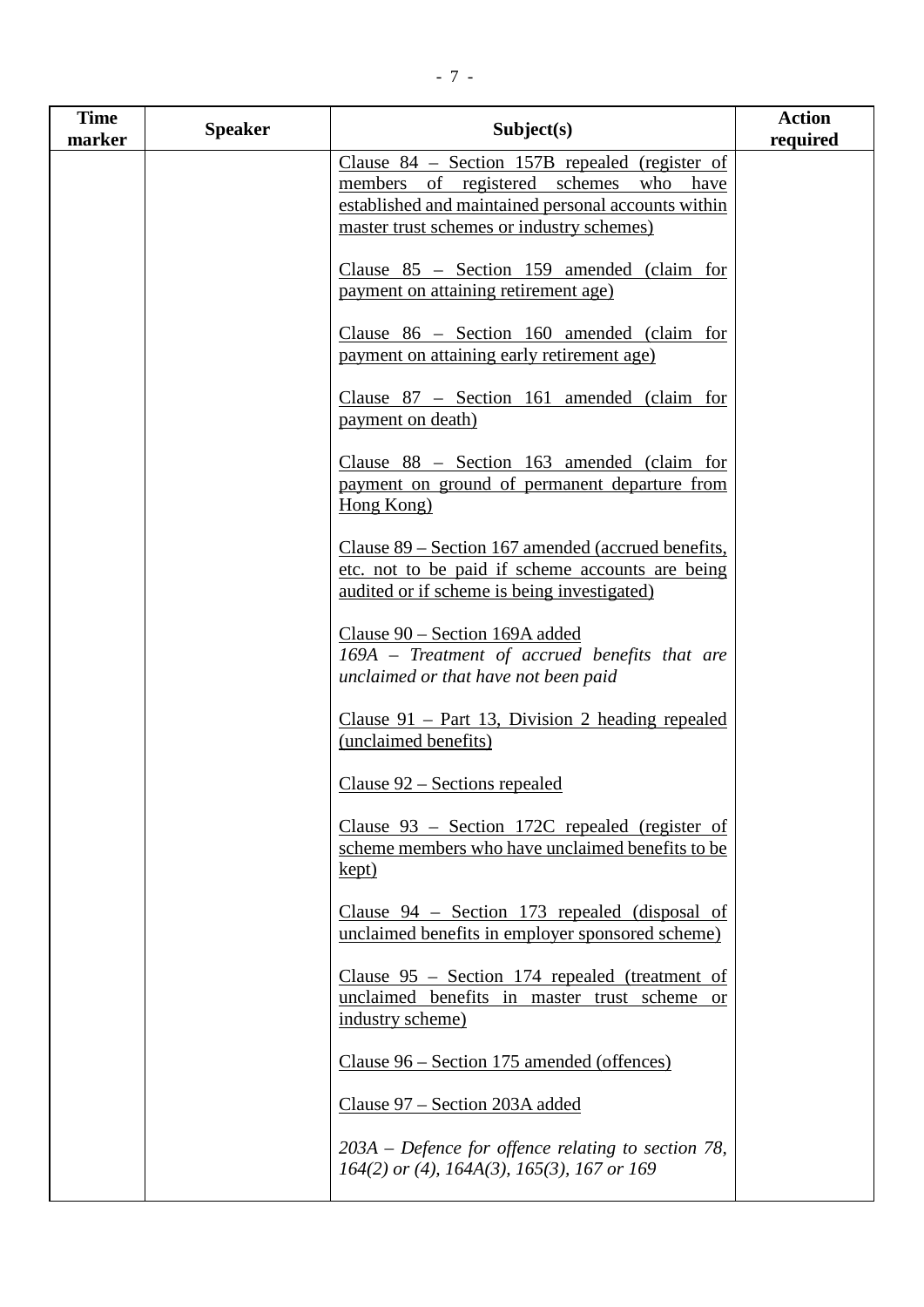| <b>Time</b><br>marker | <b>Speaker</b> | Subject(s)                                                                                                                                                                                     | <b>Action</b><br>required |
|-----------------------|----------------|------------------------------------------------------------------------------------------------------------------------------------------------------------------------------------------------|---------------------------|
|                       |                | Clause $84$ – Section 157B repealed (register of<br>members of registered schemes who have<br>established and maintained personal accounts within<br>master trust schemes or industry schemes) |                           |
|                       |                | Clause $85$ – Section 159 amended (claim for<br>payment on attaining retirement age)                                                                                                           |                           |
|                       |                | Clause $86$ – Section 160 amended (claim for<br>payment on attaining early retirement age)                                                                                                     |                           |
|                       |                | Clause 87 - Section 161 amended (claim for<br>payment on death)                                                                                                                                |                           |
|                       |                | Clause $88$ – Section 163 amended (claim for<br>payment on ground of permanent departure from<br>Hong Kong)                                                                                    |                           |
|                       |                | Clause 89 – Section 167 amended (accrued benefits,<br>etc. not to be paid if scheme accounts are being<br>audited or if scheme is being investigated)                                          |                           |
|                       |                | Clause 90 – Section 169A added<br>169A – Treatment of accrued benefits that are<br>unclaimed or that have not been paid                                                                        |                           |
|                       |                | Clause $91$ – Part 13, Division 2 heading repealed<br>(unclaimed benefits)                                                                                                                     |                           |
|                       |                | Clause $92$ – Sections repealed                                                                                                                                                                |                           |
|                       |                | Clause $93$ – Section 172C repealed (register of<br>scheme members who have unclaimed benefits to be<br>kept)                                                                                  |                           |
|                       |                | Clause $94$ – Section 173 repealed (disposal of<br>unclaimed benefits in employer sponsored scheme)                                                                                            |                           |
|                       |                | Clause $95$ – Section 174 repealed (treatment of<br>unclaimed benefits in master trust scheme or<br>industry scheme)                                                                           |                           |
|                       |                | Clause 96 – Section 175 amended (offences)                                                                                                                                                     |                           |
|                       |                | Clause 97 – Section 203A added                                                                                                                                                                 |                           |
|                       |                | $203A$ – Defence for offence relating to section 78,<br>$164(2)$ or (4), $164A(3)$ , $165(3)$ , $167$ or $169$                                                                                 |                           |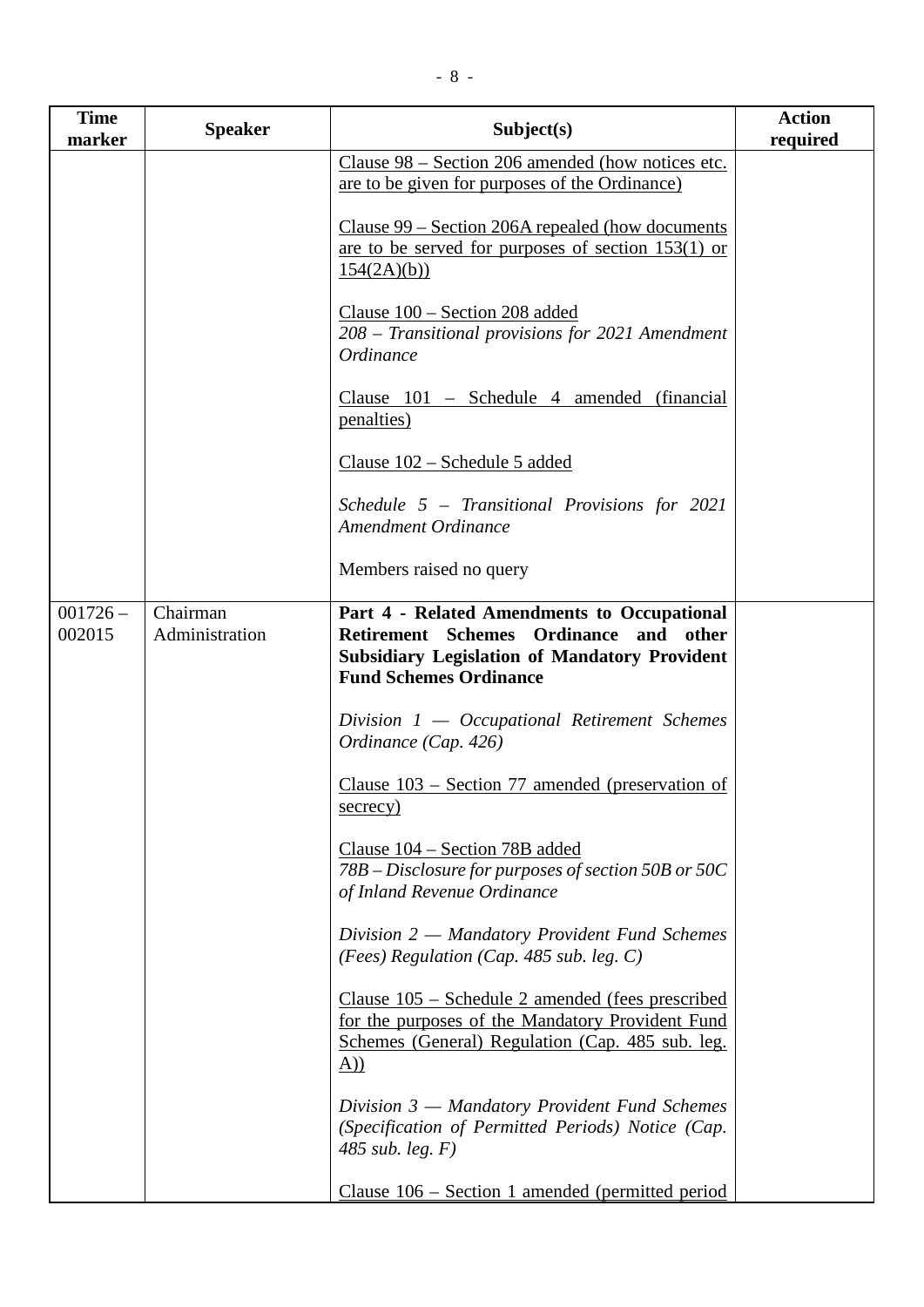| <b>Time</b><br>marker | <b>Speaker</b>             | Subject(s)                                                                                                                                                                               | <b>Action</b><br>required |
|-----------------------|----------------------------|------------------------------------------------------------------------------------------------------------------------------------------------------------------------------------------|---------------------------|
|                       |                            | Clause 98 – Section 206 amended (how notices etc.<br>are to be given for purposes of the Ordinance)                                                                                      |                           |
|                       |                            | <u>Clause 99 – Section 206A repealed (how documents</u><br>are to be served for purposes of section 153(1) or<br>154(2A)(b)                                                              |                           |
|                       |                            | Clause 100 - Section 208 added<br>208 – Transitional provisions for 2021 Amendment<br>Ordinance                                                                                          |                           |
|                       |                            | Clause 101 – Schedule 4 amended (financial<br><u>penalties)</u>                                                                                                                          |                           |
|                       |                            | Clause 102 – Schedule 5 added                                                                                                                                                            |                           |
|                       |                            | Schedule $5$ – Transitional Provisions for 2021<br><b>Amendment Ordinance</b>                                                                                                            |                           |
|                       |                            | Members raised no query                                                                                                                                                                  |                           |
| $001726 -$<br>002015  | Chairman<br>Administration | Part 4 - Related Amendments to Occupational<br><b>Retirement Schemes</b><br>Ordinance and other<br><b>Subsidiary Legislation of Mandatory Provident</b><br><b>Fund Schemes Ordinance</b> |                           |
|                       |                            | Division 1 - Occupational Retirement Schemes<br>Ordinance (Cap. 426)                                                                                                                     |                           |
|                       |                            | Clause $103$ – Section 77 amended (preservation of<br>secrecy)                                                                                                                           |                           |
|                       |                            | Clause 104 – Section 78B added<br>78B – Disclosure for purposes of section 50B or 50C<br>of Inland Revenue Ordinance                                                                     |                           |
|                       |                            | Division 2 – Mandatory Provident Fund Schemes<br>(Fees) Regulation (Cap. 485 sub. leg. $C$ )                                                                                             |                           |
|                       |                            | Clause 105 – Schedule 2 amended (fees prescribed<br>for the purposes of the Mandatory Provident Fund<br>Schemes (General) Regulation (Cap. 485 sub. leg.<br>$\Delta$ )                   |                           |
|                       |                            | Division $3$ — Mandatory Provident Fund Schemes<br>(Specification of Permitted Periods) Notice (Cap.<br>485 sub. leg. $F$ )                                                              |                           |
|                       |                            | Clause $106$ – Section 1 amended (permitted period                                                                                                                                       |                           |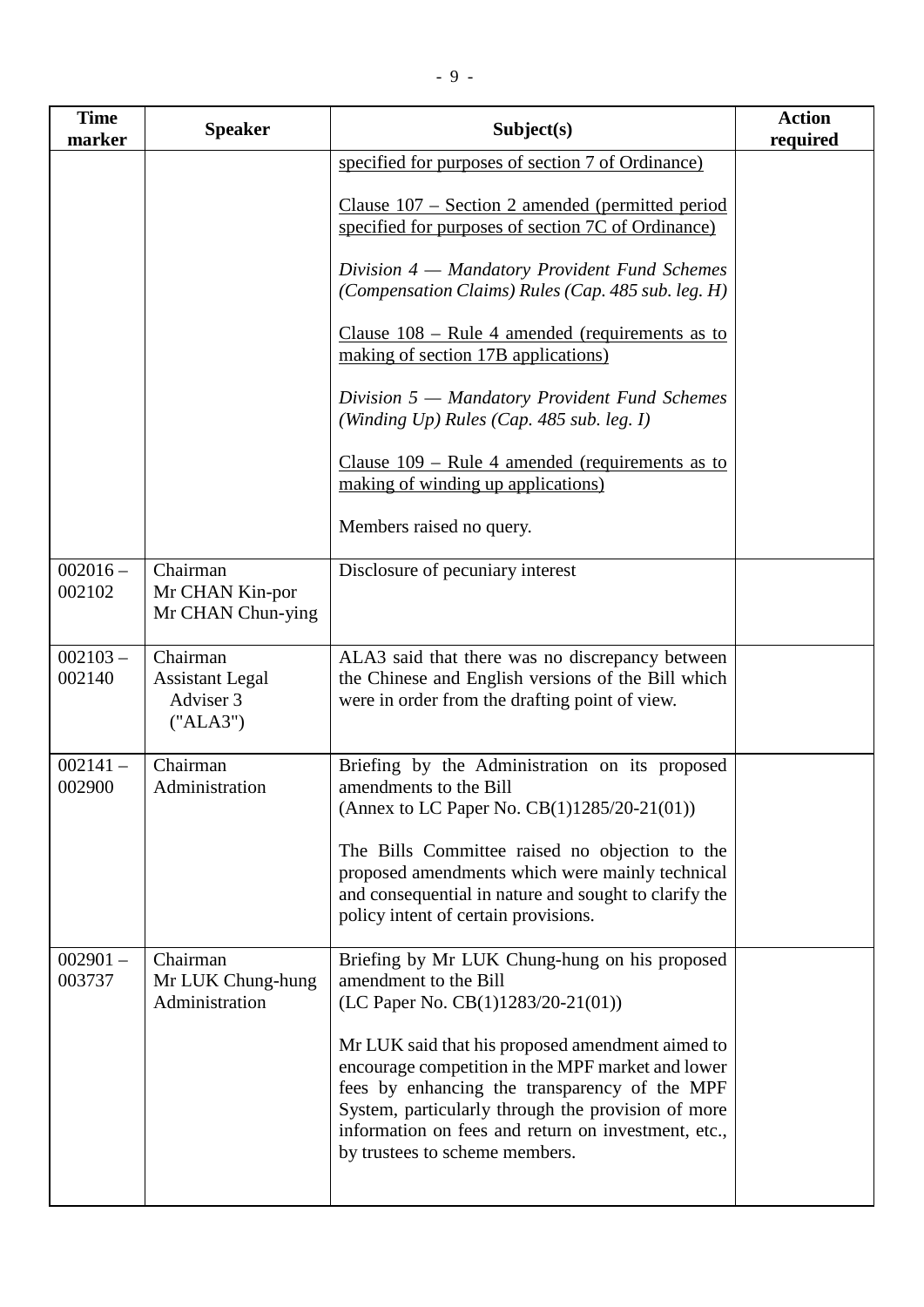| <b>Time</b><br>marker | <b>Speaker</b>                                              | Subject(s)                                                                                                                                                                                                                                                                                            | <b>Action</b><br>required |
|-----------------------|-------------------------------------------------------------|-------------------------------------------------------------------------------------------------------------------------------------------------------------------------------------------------------------------------------------------------------------------------------------------------------|---------------------------|
|                       |                                                             | specified for purposes of section 7 of Ordinance)<br>Clause $107$ – Section 2 amended (permitted period<br>specified for purposes of section 7C of Ordinance)                                                                                                                                         |                           |
|                       |                                                             | Division 4 - Mandatory Provident Fund Schemes<br>(Compensation Claims) Rules (Cap. 485 sub. leg. H)                                                                                                                                                                                                   |                           |
|                       |                                                             | Clause $108$ – Rule 4 amended (requirements as to<br>making of section 17B applications)                                                                                                                                                                                                              |                           |
|                       |                                                             | Division 5 – Mandatory Provident Fund Schemes<br>(Winding Up) Rules (Cap. 485 sub. leg. $I$ )                                                                                                                                                                                                         |                           |
|                       |                                                             | Clause $109$ – Rule 4 amended (requirements as to<br>making of winding up applications)                                                                                                                                                                                                               |                           |
|                       |                                                             | Members raised no query.                                                                                                                                                                                                                                                                              |                           |
| $002016 -$<br>002102  | Chairman<br>Mr CHAN Kin-por<br>Mr CHAN Chun-ying            | Disclosure of pecuniary interest                                                                                                                                                                                                                                                                      |                           |
| $002103 -$<br>002140  | Chairman<br><b>Assistant Legal</b><br>Adviser 3<br>("ALA3") | ALA3 said that there was no discrepancy between<br>the Chinese and English versions of the Bill which<br>were in order from the drafting point of view.                                                                                                                                               |                           |
| $002141 -$<br>002900  | Chairman<br>Administration                                  | Briefing by the Administration on its proposed<br>amendments to the Bill<br>(Annex to LC Paper No. CB(1)1285/20-21(01))                                                                                                                                                                               |                           |
|                       |                                                             | The Bills Committee raised no objection to the<br>proposed amendments which were mainly technical<br>and consequential in nature and sought to clarify the<br>policy intent of certain provisions.                                                                                                    |                           |
| $002901 -$<br>003737  | Chairman<br>Mr LUK Chung-hung<br>Administration             | Briefing by Mr LUK Chung-hung on his proposed<br>amendment to the Bill<br>(LC Paper No. CB(1)1283/20-21(01))                                                                                                                                                                                          |                           |
|                       |                                                             | Mr LUK said that his proposed amendment aimed to<br>encourage competition in the MPF market and lower<br>fees by enhancing the transparency of the MPF<br>System, particularly through the provision of more<br>information on fees and return on investment, etc.,<br>by trustees to scheme members. |                           |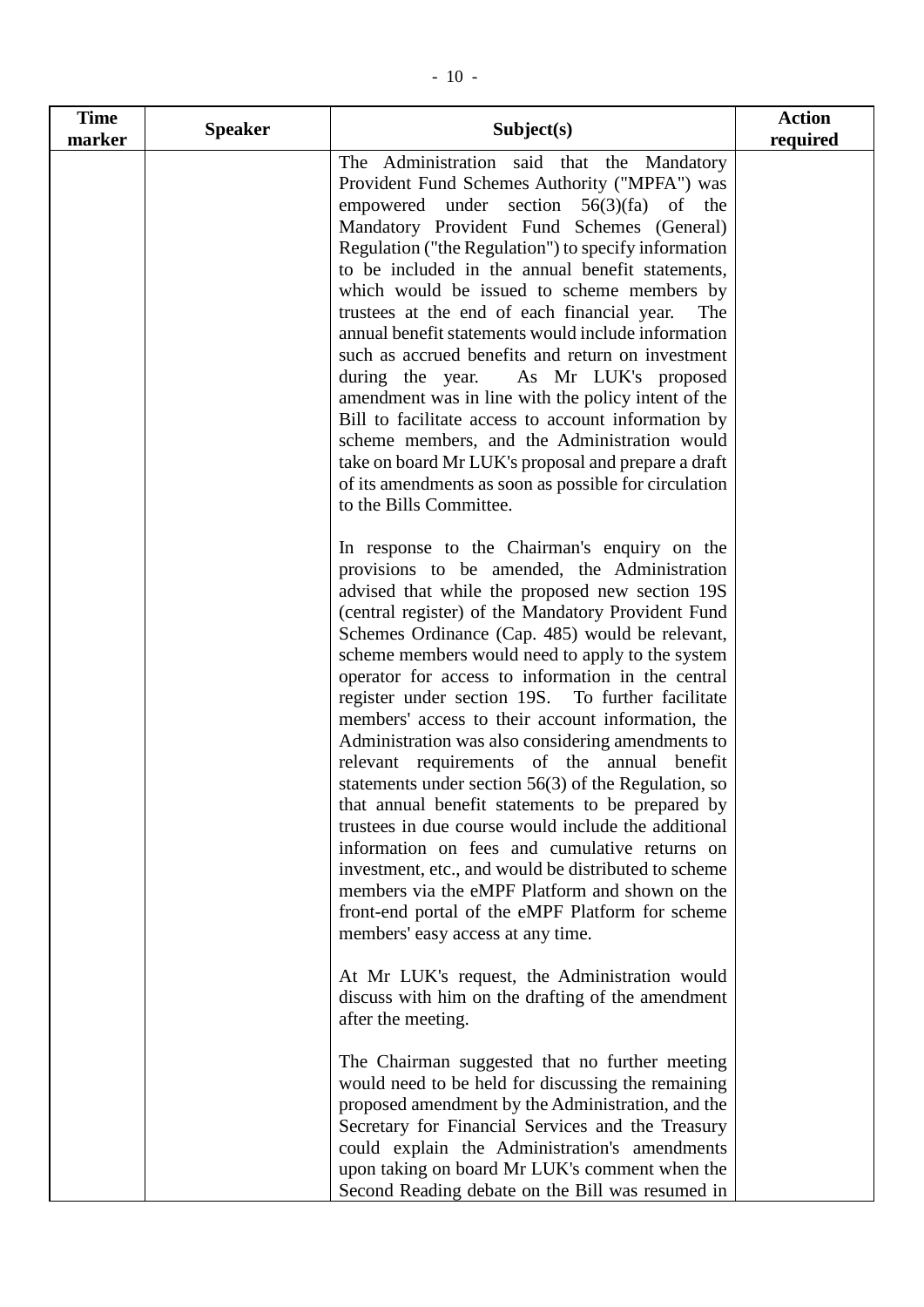| <b>Time</b> | <b>Speaker</b> | Subject(s)                                                                                                                                                                                                                                                                                                                                                                                                                                                                                                                                                                                                                                                                                                                                                                                                                                                                                                                                                                                               | <b>Action</b> |
|-------------|----------------|----------------------------------------------------------------------------------------------------------------------------------------------------------------------------------------------------------------------------------------------------------------------------------------------------------------------------------------------------------------------------------------------------------------------------------------------------------------------------------------------------------------------------------------------------------------------------------------------------------------------------------------------------------------------------------------------------------------------------------------------------------------------------------------------------------------------------------------------------------------------------------------------------------------------------------------------------------------------------------------------------------|---------------|
| marker      |                | The Administration said that the Mandatory<br>Provident Fund Schemes Authority ("MPFA") was<br>empowered under section $56(3)(fa)$ of the<br>Mandatory Provident Fund Schemes (General)<br>Regulation ("the Regulation") to specify information<br>to be included in the annual benefit statements,<br>which would be issued to scheme members by<br>trustees at the end of each financial year.<br>The<br>annual benefit statements would include information<br>such as accrued benefits and return on investment<br>during the year. As Mr LUK's proposed<br>amendment was in line with the policy intent of the<br>Bill to facilitate access to account information by<br>scheme members, and the Administration would<br>take on board Mr LUK's proposal and prepare a draft<br>of its amendments as soon as possible for circulation<br>to the Bills Committee.                                                                                                                                    | required      |
|             |                | In response to the Chairman's enquiry on the<br>provisions to be amended, the Administration<br>advised that while the proposed new section 19S<br>(central register) of the Mandatory Provident Fund<br>Schemes Ordinance (Cap. 485) would be relevant,<br>scheme members would need to apply to the system<br>operator for access to information in the central<br>register under section 19S. To further facilitate<br>members' access to their account information, the<br>Administration was also considering amendments to<br>relevant requirements of the annual benefit<br>statements under section $56(3)$ of the Regulation, so<br>that annual benefit statements to be prepared by<br>trustees in due course would include the additional<br>information on fees and cumulative returns on<br>investment, etc., and would be distributed to scheme<br>members via the eMPF Platform and shown on the<br>front-end portal of the eMPF Platform for scheme<br>members' easy access at any time. |               |
|             |                | At Mr LUK's request, the Administration would<br>discuss with him on the drafting of the amendment<br>after the meeting.<br>The Chairman suggested that no further meeting<br>would need to be held for discussing the remaining<br>proposed amendment by the Administration, and the<br>Secretary for Financial Services and the Treasury<br>could explain the Administration's amendments<br>upon taking on board Mr LUK's comment when the<br>Second Reading debate on the Bill was resumed in                                                                                                                                                                                                                                                                                                                                                                                                                                                                                                        |               |